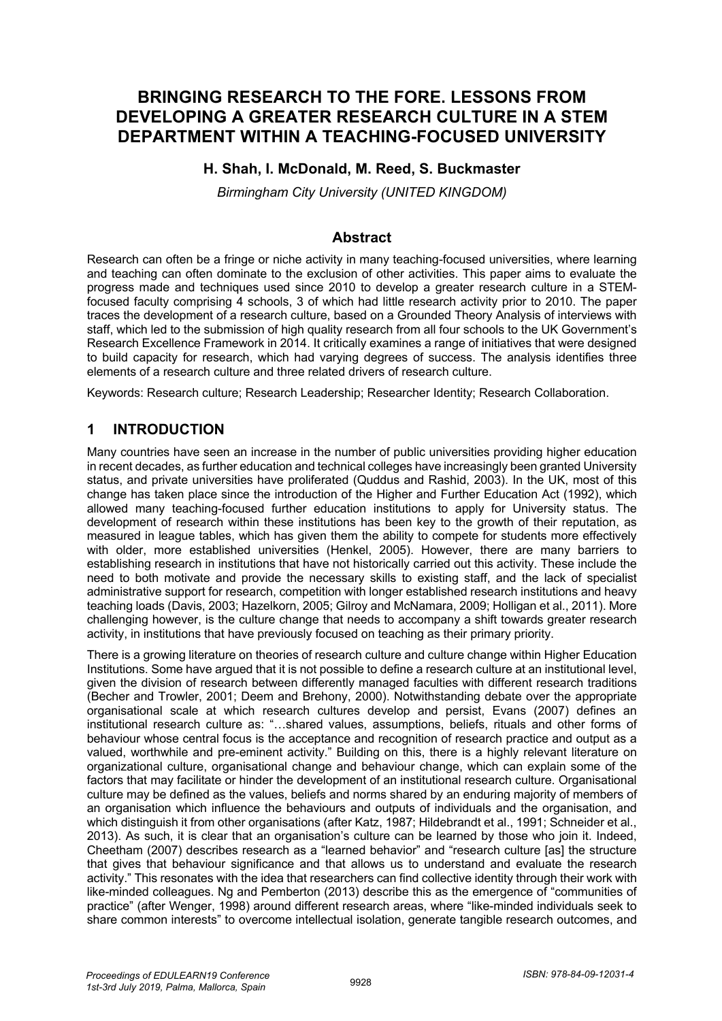# **BRINGING RESEARCH TO THE FORE. LESSONS FROM DEVELOPING A GREATER RESEARCH CULTURE IN A STEM DEPARTMENT WITHIN A TEACHING-FOCUSED UNIVERSITY**

#### **H. Shah, I. McDonald, M. Reed, S. Buckmaster**

*Birmingham City University (UNITED KINGDOM)*

#### **Abstract**

Research can often be a fringe or niche activity in many teaching-focused universities, where learning and teaching can often dominate to the exclusion of other activities. This paper aims to evaluate the progress made and techniques used since 2010 to develop a greater research culture in a STEMfocused faculty comprising 4 schools, 3 of which had little research activity prior to 2010. The paper traces the development of a research culture, based on a Grounded Theory Analysis of interviews with staff, which led to the submission of high quality research from all four schools to the UK Government's Research Excellence Framework in 2014. It critically examines a range of initiatives that were designed to build capacity for research, which had varying degrees of success. The analysis identifies three elements of a research culture and three related drivers of research culture.

Keywords: Research culture; Research Leadership; Researcher Identity; Research Collaboration.

### **1 INTRODUCTION**

Many countries have seen an increase in the number of public universities providing higher education in recent decades, as further education and technical colleges have increasingly been granted University status, and private universities have proliferated (Quddus and Rashid, 2003). In the UK, most of this change has taken place since the introduction of the Higher and Further Education Act (1992), which allowed many teaching-focused further education institutions to apply for University status. The development of research within these institutions has been key to the growth of their reputation, as measured in league tables, which has given them the ability to compete for students more effectively with older, more established universities (Henkel, 2005). However, there are many barriers to establishing research in institutions that have not historically carried out this activity. These include the need to both motivate and provide the necessary skills to existing staff, and the lack of specialist administrative support for research, competition with longer established research institutions and heavy teaching loads (Davis, 2003; Hazelkorn, 2005; Gilroy and McNamara, 2009; Holligan et al., 2011). More challenging however, is the culture change that needs to accompany a shift towards greater research activity, in institutions that have previously focused on teaching as their primary priority.

There is a growing literature on theories of research culture and culture change within Higher Education Institutions. Some have argued that it is not possible to define a research culture at an institutional level, given the division of research between differently managed faculties with different research traditions (Becher and Trowler, 2001; Deem and Brehony, 2000). Notwithstanding debate over the appropriate organisational scale at which research cultures develop and persist, Evans (2007) defines an institutional research culture as: "…shared values, assumptions, beliefs, rituals and other forms of behaviour whose central focus is the acceptance and recognition of research practice and output as a valued, worthwhile and pre-eminent activity." Building on this, there is a highly relevant literature on organizational culture, organisational change and behaviour change, which can explain some of the factors that may facilitate or hinder the development of an institutional research culture. Organisational culture may be defined as the values, beliefs and norms shared by an enduring majority of members of an organisation which influence the behaviours and outputs of individuals and the organisation, and which distinguish it from other organisations (after Katz, 1987; Hildebrandt et al., 1991; Schneider et al., 2013). As such, it is clear that an organisation's culture can be learned by those who join it. Indeed, Cheetham (2007) describes research as a "learned behavior" and "research culture [as] the structure that gives that behaviour significance and that allows us to understand and evaluate the research activity." This resonates with the idea that researchers can find collective identity through their work with like-minded colleagues. Ng and Pemberton (2013) describe this as the emergence of "communities of practice" (after Wenger, 1998) around different research areas, where "like-minded individuals seek to share common interests" to overcome intellectual isolation, generate tangible research outcomes, and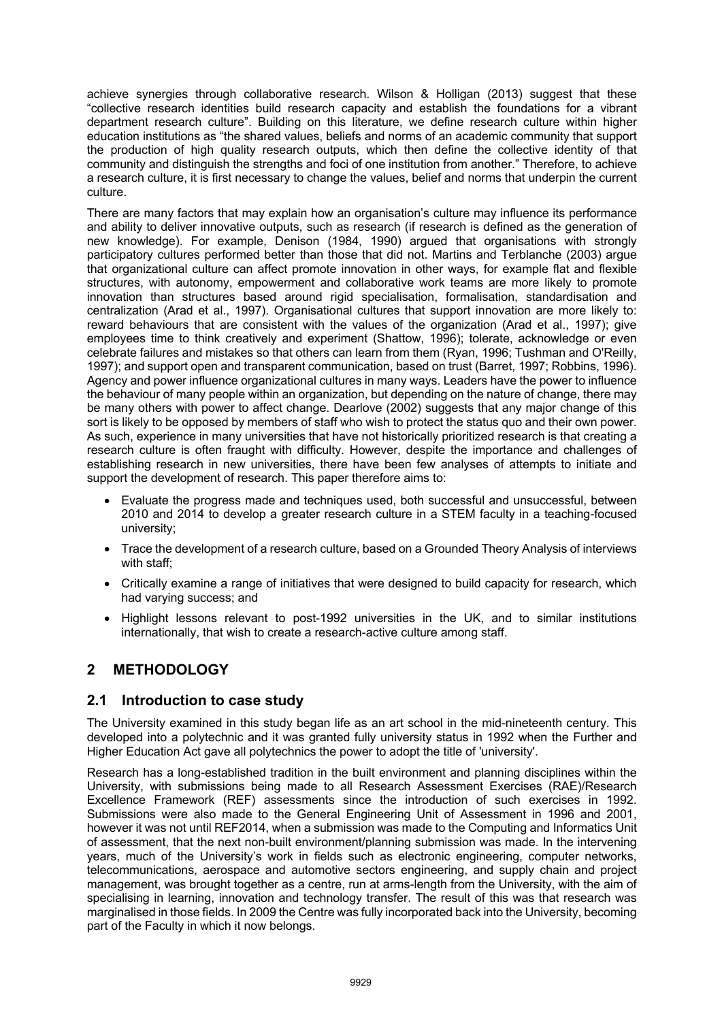achieve synergies through collaborative research. Wilson & Holligan (2013) suggest that these "collective research identities build research capacity and establish the foundations for a vibrant department research culture". Building on this literature, we define research culture within higher education institutions as "the shared values, beliefs and norms of an academic community that support the production of high quality research outputs, which then define the collective identity of that community and distinguish the strengths and foci of one institution from another." Therefore, to achieve a research culture, it is first necessary to change the values, belief and norms that underpin the current culture.

There are many factors that may explain how an organisation's culture may influence its performance and ability to deliver innovative outputs, such as research (if research is defined as the generation of new knowledge). For example, Denison (1984, 1990) argued that organisations with strongly participatory cultures performed better than those that did not. Martins and Terblanche (2003) argue that organizational culture can affect promote innovation in other ways, for example flat and flexible structures, with autonomy, empowerment and collaborative work teams are more likely to promote innovation than structures based around rigid specialisation, formalisation, standardisation and centralization (Arad et al., 1997). Organisational cultures that support innovation are more likely to: reward behaviours that are consistent with the values of the organization (Arad et al., 1997); give employees time to think creatively and experiment (Shattow, 1996); tolerate, acknowledge or even celebrate failures and mistakes so that others can learn from them (Ryan, 1996; Tushman and O'Reilly, 1997); and support open and transparent communication, based on trust (Barret, 1997; Robbins, 1996). Agency and power influence organizational cultures in many ways. Leaders have the power to influence the behaviour of many people within an organization, but depending on the nature of change, there may be many others with power to affect change. Dearlove (2002) suggests that any major change of this sort is likely to be opposed by members of staff who wish to protect the status quo and their own power. As such, experience in many universities that have not historically prioritized research is that creating a research culture is often fraught with difficulty. However, despite the importance and challenges of establishing research in new universities, there have been few analyses of attempts to initiate and support the development of research. This paper therefore aims to:

- Evaluate the progress made and techniques used, both successful and unsuccessful, between 2010 and 2014 to develop a greater research culture in a STEM faculty in a teaching-focused university;
- Trace the development of a research culture, based on a Grounded Theory Analysis of interviews with staff;
- Critically examine a range of initiatives that were designed to build capacity for research, which had varying success; and
- Highlight lessons relevant to post-1992 universities in the UK, and to similar institutions internationally, that wish to create a research-active culture among staff.

# **2 METHODOLOGY**

#### **2.1 Introduction to case study**

The University examined in this study began life as an art school in the mid-nineteenth century. This developed into a polytechnic and it was granted fully university status in 1992 when the Further and Higher Education Act gave all polytechnics the power to adopt the title of 'university'.

Research has a long-established tradition in the built environment and planning disciplines within the University, with submissions being made to all Research Assessment Exercises (RAE)/Research Excellence Framework (REF) assessments since the introduction of such exercises in 1992. Submissions were also made to the General Engineering Unit of Assessment in 1996 and 2001, however it was not until REF2014, when a submission was made to the Computing and Informatics Unit of assessment, that the next non-built environment/planning submission was made. In the intervening years, much of the University's work in fields such as electronic engineering, computer networks, telecommunications, aerospace and automotive sectors engineering, and supply chain and project management, was brought together as a centre, run at arms-length from the University, with the aim of specialising in learning, innovation and technology transfer. The result of this was that research was marginalised in those fields. In 2009 the Centre was fully incorporated back into the University, becoming part of the Faculty in which it now belongs.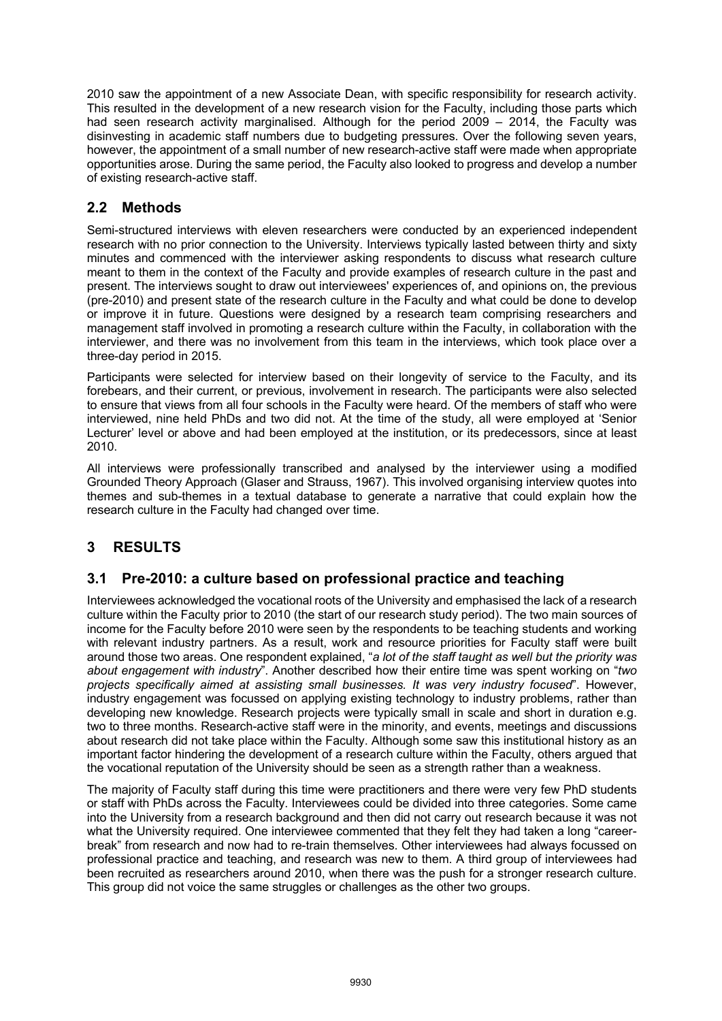2010 saw the appointment of a new Associate Dean, with specific responsibility for research activity. This resulted in the development of a new research vision for the Faculty, including those parts which had seen research activity marginalised. Although for the period 2009 – 2014, the Faculty was disinvesting in academic staff numbers due to budgeting pressures. Over the following seven years, however, the appointment of a small number of new research-active staff were made when appropriate opportunities arose. During the same period, the Faculty also looked to progress and develop a number of existing research-active staff.

### **2.2 Methods**

Semi-structured interviews with eleven researchers were conducted by an experienced independent research with no prior connection to the University. Interviews typically lasted between thirty and sixty minutes and commenced with the interviewer asking respondents to discuss what research culture meant to them in the context of the Faculty and provide examples of research culture in the past and present. The interviews sought to draw out interviewees' experiences of, and opinions on, the previous (pre-2010) and present state of the research culture in the Faculty and what could be done to develop or improve it in future. Questions were designed by a research team comprising researchers and management staff involved in promoting a research culture within the Faculty, in collaboration with the interviewer, and there was no involvement from this team in the interviews, which took place over a three-day period in 2015.

Participants were selected for interview based on their longevity of service to the Faculty, and its forebears, and their current, or previous, involvement in research. The participants were also selected to ensure that views from all four schools in the Faculty were heard. Of the members of staff who were interviewed, nine held PhDs and two did not. At the time of the study, all were employed at 'Senior Lecturer' level or above and had been employed at the institution, or its predecessors, since at least 2010.

All interviews were professionally transcribed and analysed by the interviewer using a modified Grounded Theory Approach (Glaser and Strauss, 1967). This involved organising interview quotes into themes and sub-themes in a textual database to generate a narrative that could explain how the research culture in the Faculty had changed over time.

# **3 RESULTS**

### **3.1 Pre-2010: a culture based on professional practice and teaching**

Interviewees acknowledged the vocational roots of the University and emphasised the lack of a research culture within the Faculty prior to 2010 (the start of our research study period). The two main sources of income for the Faculty before 2010 were seen by the respondents to be teaching students and working with relevant industry partners. As a result, work and resource priorities for Faculty staff were built around those two areas. One respondent explained, "*a lot of the staff taught as well but the priority was about engagement with industry*". Another described how their entire time was spent working on "*two projects specifically aimed at assisting small businesses. It was very industry focused*". However, industry engagement was focussed on applying existing technology to industry problems, rather than developing new knowledge. Research projects were typically small in scale and short in duration e.g. two to three months. Research-active staff were in the minority, and events, meetings and discussions about research did not take place within the Faculty. Although some saw this institutional history as an important factor hindering the development of a research culture within the Faculty, others argued that the vocational reputation of the University should be seen as a strength rather than a weakness.

The majority of Faculty staff during this time were practitioners and there were very few PhD students or staff with PhDs across the Faculty. Interviewees could be divided into three categories. Some came into the University from a research background and then did not carry out research because it was not what the University required. One interviewee commented that they felt they had taken a long "careerbreak" from research and now had to re-train themselves. Other interviewees had always focussed on professional practice and teaching, and research was new to them. A third group of interviewees had been recruited as researchers around 2010, when there was the push for a stronger research culture. This group did not voice the same struggles or challenges as the other two groups.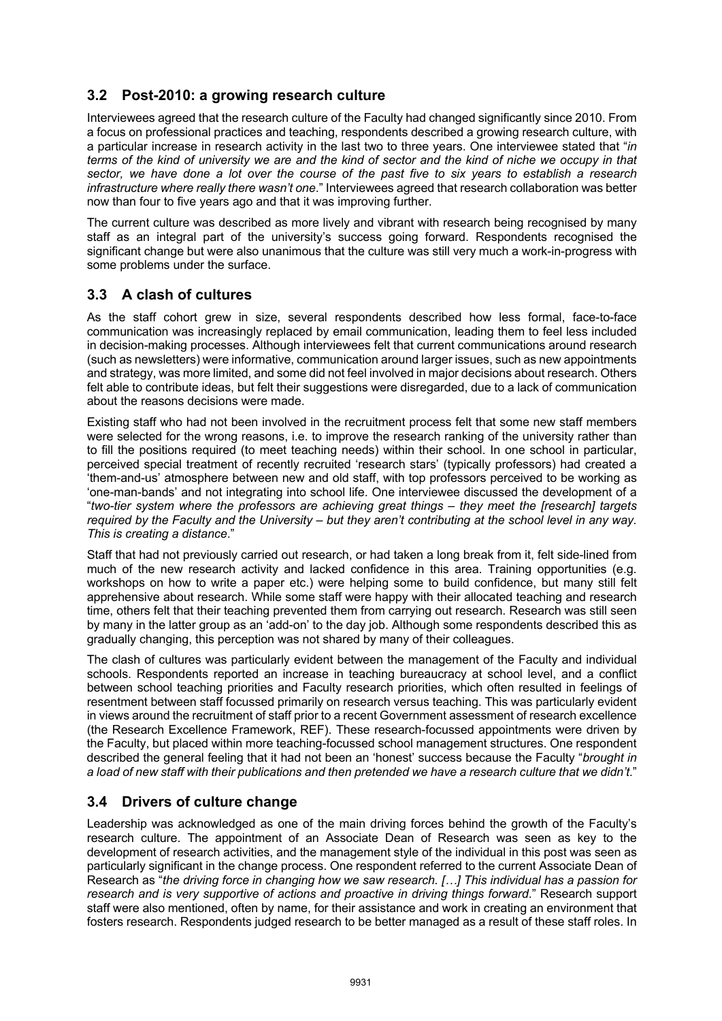### **3.2 Post-2010: a growing research culture**

Interviewees agreed that the research culture of the Faculty had changed significantly since 2010. From a focus on professional practices and teaching, respondents described a growing research culture, with a particular increase in research activity in the last two to three years. One interviewee stated that "*in terms of the kind of university we are and the kind of sector and the kind of niche we occupy in that sector, we have done a lot over the course of the past five to six years to establish a research infrastructure where really there wasn't one*." Interviewees agreed that research collaboration was better now than four to five years ago and that it was improving further.

The current culture was described as more lively and vibrant with research being recognised by many staff as an integral part of the university's success going forward. Respondents recognised the significant change but were also unanimous that the culture was still very much a work-in-progress with some problems under the surface.

# **3.3 A clash of cultures**

As the staff cohort grew in size, several respondents described how less formal, face-to-face communication was increasingly replaced by email communication, leading them to feel less included in decision-making processes. Although interviewees felt that current communications around research (such as newsletters) were informative, communication around larger issues, such as new appointments and strategy, was more limited, and some did not feel involved in major decisions about research. Others felt able to contribute ideas, but felt their suggestions were disregarded, due to a lack of communication about the reasons decisions were made.

Existing staff who had not been involved in the recruitment process felt that some new staff members were selected for the wrong reasons, i.e. to improve the research ranking of the university rather than to fill the positions required (to meet teaching needs) within their school. In one school in particular, perceived special treatment of recently recruited 'research stars' (typically professors) had created a 'them-and-us' atmosphere between new and old staff, with top professors perceived to be working as 'one-man-bands' and not integrating into school life. One interviewee discussed the development of a "*two-tier system where the professors are achieving great things – they meet the [research] targets required by the Faculty and the University – but they aren't contributing at the school level in any way. This is creating a distance*."

Staff that had not previously carried out research, or had taken a long break from it, felt side-lined from much of the new research activity and lacked confidence in this area. Training opportunities (e.g. workshops on how to write a paper etc.) were helping some to build confidence, but many still felt apprehensive about research. While some staff were happy with their allocated teaching and research time, others felt that their teaching prevented them from carrying out research. Research was still seen by many in the latter group as an 'add-on' to the day job. Although some respondents described this as gradually changing, this perception was not shared by many of their colleagues.

The clash of cultures was particularly evident between the management of the Faculty and individual schools. Respondents reported an increase in teaching bureaucracy at school level, and a conflict between school teaching priorities and Faculty research priorities, which often resulted in feelings of resentment between staff focussed primarily on research versus teaching. This was particularly evident in views around the recruitment of staff prior to a recent Government assessment of research excellence (the Research Excellence Framework, REF). These research-focussed appointments were driven by the Faculty, but placed within more teaching-focussed school management structures. One respondent described the general feeling that it had not been an 'honest' success because the Faculty "*brought in a load of new staff with their publications and then pretended we have a research culture that we didn't*."

# **3.4 Drivers of culture change**

Leadership was acknowledged as one of the main driving forces behind the growth of the Faculty's research culture. The appointment of an Associate Dean of Research was seen as key to the development of research activities, and the management style of the individual in this post was seen as particularly significant in the change process. One respondent referred to the current Associate Dean of Research as "*the driving force in changing how we saw research. […] This individual has a passion for research and is very supportive of actions and proactive in driving things forward*." Research support staff were also mentioned, often by name, for their assistance and work in creating an environment that fosters research. Respondents judged research to be better managed as a result of these staff roles. In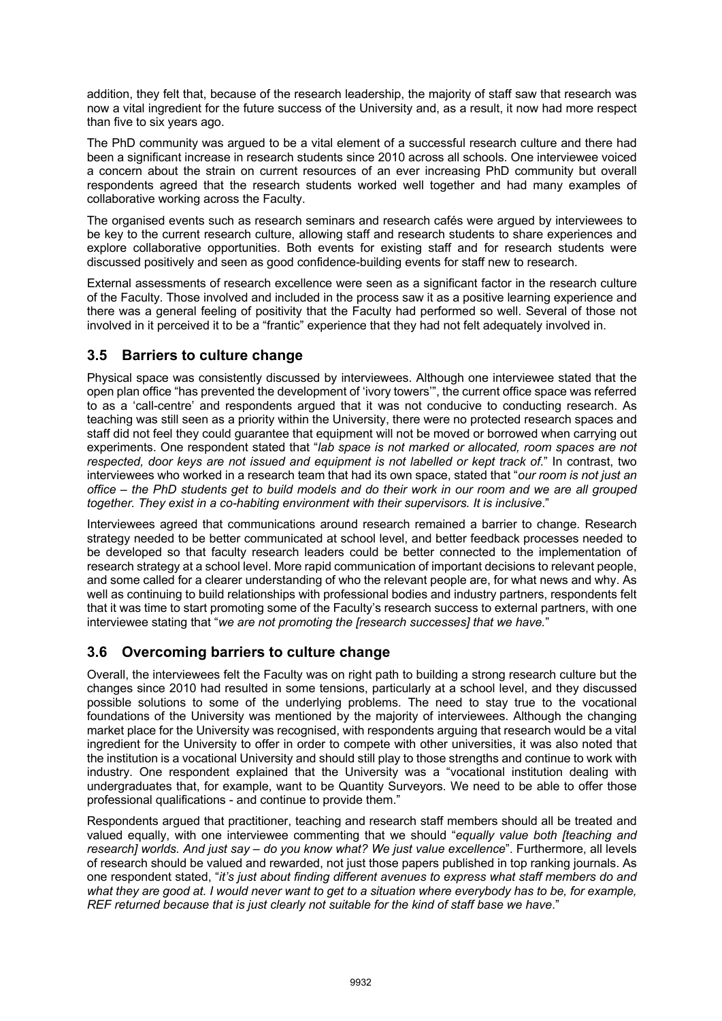addition, they felt that, because of the research leadership, the majority of staff saw that research was now a vital ingredient for the future success of the University and, as a result, it now had more respect than five to six years ago.

The PhD community was argued to be a vital element of a successful research culture and there had been a significant increase in research students since 2010 across all schools. One interviewee voiced a concern about the strain on current resources of an ever increasing PhD community but overall respondents agreed that the research students worked well together and had many examples of collaborative working across the Faculty.

The organised events such as research seminars and research cafés were argued by interviewees to be key to the current research culture, allowing staff and research students to share experiences and explore collaborative opportunities. Both events for existing staff and for research students were discussed positively and seen as good confidence-building events for staff new to research.

External assessments of research excellence were seen as a significant factor in the research culture of the Faculty. Those involved and included in the process saw it as a positive learning experience and there was a general feeling of positivity that the Faculty had performed so well. Several of those not involved in it perceived it to be a "frantic" experience that they had not felt adequately involved in.

### **3.5 Barriers to culture change**

Physical space was consistently discussed by interviewees. Although one interviewee stated that the open plan office "has prevented the development of 'ivory towers'", the current office space was referred to as a 'call-centre' and respondents argued that it was not conducive to conducting research. As teaching was still seen as a priority within the University, there were no protected research spaces and staff did not feel they could guarantee that equipment will not be moved or borrowed when carrying out experiments. One respondent stated that "*lab space is not marked or allocated, room spaces are not respected, door keys are not issued and equipment is not labelled or kept track of*." In contrast, two interviewees who worked in a research team that had its own space, stated that "*our room is not just an office – the PhD students get to build models and do their work in our room and we are all grouped together. They exist in a co-habiting environment with their supervisors. It is inclusive*."

Interviewees agreed that communications around research remained a barrier to change. Research strategy needed to be better communicated at school level, and better feedback processes needed to be developed so that faculty research leaders could be better connected to the implementation of research strategy at a school level. More rapid communication of important decisions to relevant people, and some called for a clearer understanding of who the relevant people are, for what news and why. As well as continuing to build relationships with professional bodies and industry partners, respondents felt that it was time to start promoting some of the Faculty's research success to external partners, with one interviewee stating that "*we are not promoting the [research successes] that we have.*"

# **3.6 Overcoming barriers to culture change**

Overall, the interviewees felt the Faculty was on right path to building a strong research culture but the changes since 2010 had resulted in some tensions, particularly at a school level, and they discussed possible solutions to some of the underlying problems. The need to stay true to the vocational foundations of the University was mentioned by the majority of interviewees. Although the changing market place for the University was recognised, with respondents arguing that research would be a vital ingredient for the University to offer in order to compete with other universities, it was also noted that the institution is a vocational University and should still play to those strengths and continue to work with industry. One respondent explained that the University was a "vocational institution dealing with undergraduates that, for example, want to be Quantity Surveyors. We need to be able to offer those professional qualifications - and continue to provide them."

Respondents argued that practitioner, teaching and research staff members should all be treated and valued equally, with one interviewee commenting that we should "*equally value both [teaching and research] worlds. And just say – do you know what? We just value excellence*". Furthermore, all levels of research should be valued and rewarded, not just those papers published in top ranking journals. As one respondent stated, "*it's just about finding different avenues to express what staff members do and what they are good at. I would never want to get to a situation where everybody has to be, for example, REF returned because that is just clearly not suitable for the kind of staff base we have*."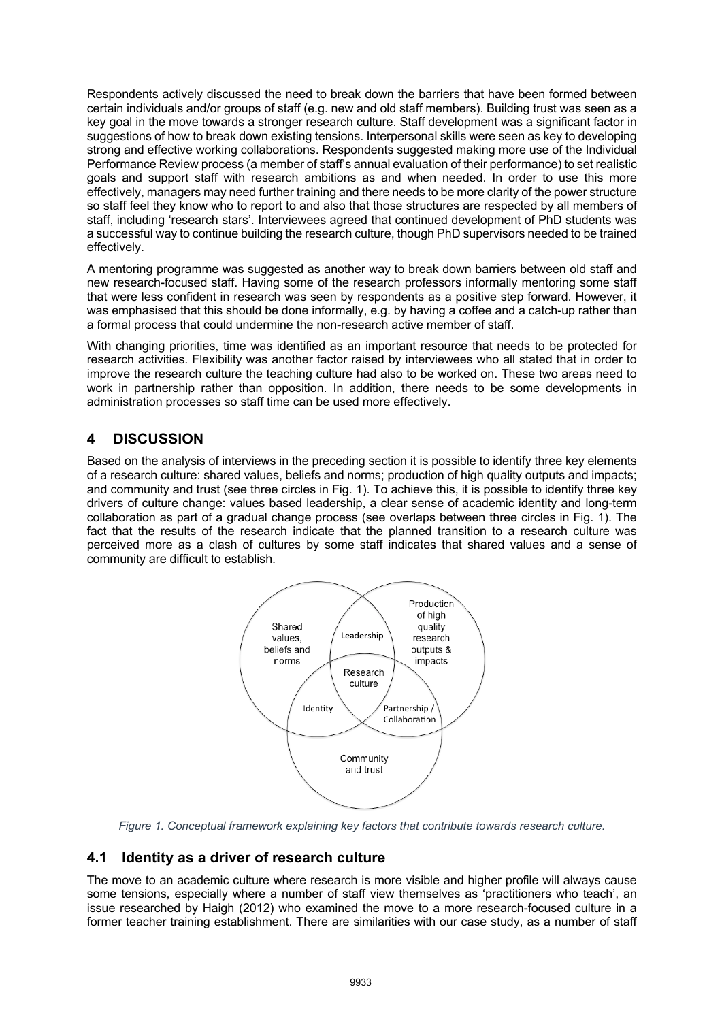Respondents actively discussed the need to break down the barriers that have been formed between certain individuals and/or groups of staff (e.g. new and old staff members). Building trust was seen as a key goal in the move towards a stronger research culture. Staff development was a significant factor in suggestions of how to break down existing tensions. Interpersonal skills were seen as key to developing strong and effective working collaborations. Respondents suggested making more use of the Individual Performance Review process (a member of staff's annual evaluation of their performance) to set realistic goals and support staff with research ambitions as and when needed. In order to use this more effectively, managers may need further training and there needs to be more clarity of the power structure so staff feel they know who to report to and also that those structures are respected by all members of staff, including 'research stars'. Interviewees agreed that continued development of PhD students was a successful way to continue building the research culture, though PhD supervisors needed to be trained effectively.

A mentoring programme was suggested as another way to break down barriers between old staff and new research-focused staff. Having some of the research professors informally mentoring some staff that were less confident in research was seen by respondents as a positive step forward. However, it was emphasised that this should be done informally, e.g. by having a coffee and a catch-up rather than a formal process that could undermine the non-research active member of staff.

With changing priorities, time was identified as an important resource that needs to be protected for research activities. Flexibility was another factor raised by interviewees who all stated that in order to improve the research culture the teaching culture had also to be worked on. These two areas need to work in partnership rather than opposition. In addition, there needs to be some developments in administration processes so staff time can be used more effectively.

### **4 DISCUSSION**

Based on the analysis of interviews in the preceding section it is possible to identify three key elements of a research culture: shared values, beliefs and norms; production of high quality outputs and impacts; and community and trust (see three circles in Fig. 1). To achieve this, it is possible to identify three key drivers of culture change: values based leadership, a clear sense of academic identity and long-term collaboration as part of a gradual change process (see overlaps between three circles in Fig. 1). The fact that the results of the research indicate that the planned transition to a research culture was perceived more as a clash of cultures by some staff indicates that shared values and a sense of community are difficult to establish.



*Figure 1. Conceptual framework explaining key factors that contribute towards research culture.*

### **4.1 Identity as a driver of research culture**

The move to an academic culture where research is more visible and higher profile will always cause some tensions, especially where a number of staff view themselves as 'practitioners who teach', an issue researched by Haigh (2012) who examined the move to a more research-focused culture in a former teacher training establishment. There are similarities with our case study, as a number of staff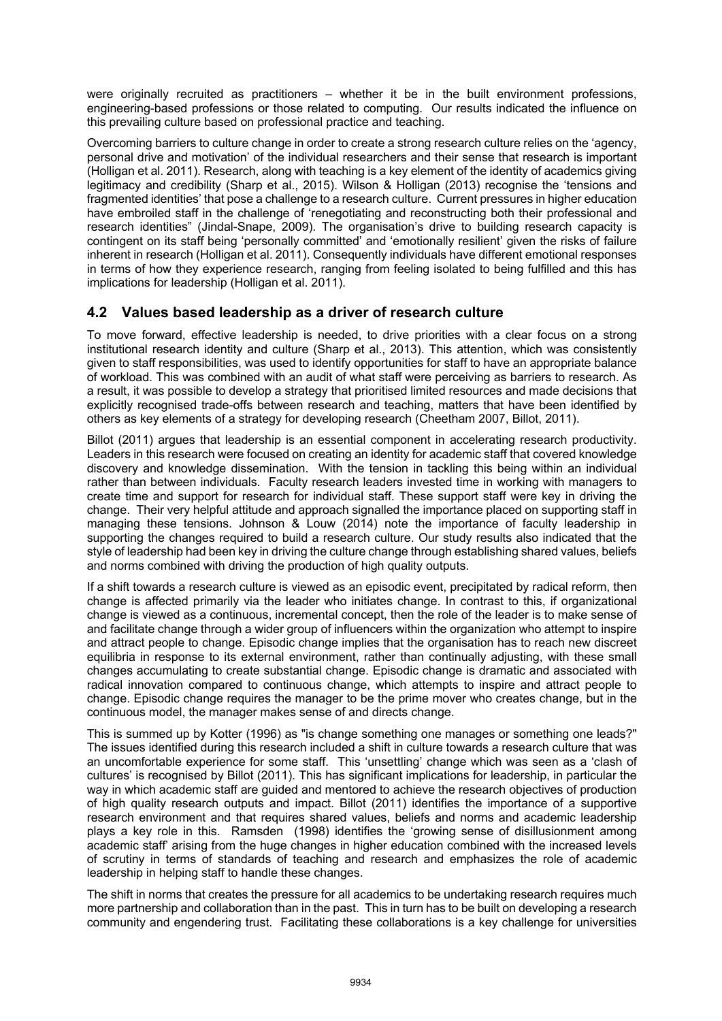were originally recruited as practitioners – whether it be in the built environment professions, engineering-based professions or those related to computing. Our results indicated the influence on this prevailing culture based on professional practice and teaching.

Overcoming barriers to culture change in order to create a strong research culture relies on the 'agency, personal drive and motivation' of the individual researchers and their sense that research is important (Holligan et al. 2011). Research, along with teaching is a key element of the identity of academics giving legitimacy and credibility (Sharp et al., 2015). Wilson & Holligan (2013) recognise the 'tensions and fragmented identities' that pose a challenge to a research culture. Current pressures in higher education have embroiled staff in the challenge of 'renegotiating and reconstructing both their professional and research identities" (Jindal-Snape, 2009). The organisation's drive to building research capacity is contingent on its staff being 'personally committed' and 'emotionally resilient' given the risks of failure inherent in research (Holligan et al. 2011). Consequently individuals have different emotional responses in terms of how they experience research, ranging from feeling isolated to being fulfilled and this has implications for leadership (Holligan et al. 2011).

### **4.2 Values based leadership as a driver of research culture**

To move forward, effective leadership is needed, to drive priorities with a clear focus on a strong institutional research identity and culture (Sharp et al., 2013). This attention, which was consistently given to staff responsibilities, was used to identify opportunities for staff to have an appropriate balance of workload. This was combined with an audit of what staff were perceiving as barriers to research. As a result, it was possible to develop a strategy that prioritised limited resources and made decisions that explicitly recognised trade-offs between research and teaching, matters that have been identified by others as key elements of a strategy for developing research (Cheetham 2007, Billot, 2011).

Billot (2011) argues that leadership is an essential component in accelerating research productivity. Leaders in this research were focused on creating an identity for academic staff that covered knowledge discovery and knowledge dissemination. With the tension in tackling this being within an individual rather than between individuals. Faculty research leaders invested time in working with managers to create time and support for research for individual staff. These support staff were key in driving the change. Their very helpful attitude and approach signalled the importance placed on supporting staff in managing these tensions. Johnson & Louw (2014) note the importance of faculty leadership in supporting the changes required to build a research culture. Our study results also indicated that the style of leadership had been key in driving the culture change through establishing shared values, beliefs and norms combined with driving the production of high quality outputs.

If a shift towards a research culture is viewed as an episodic event, precipitated by radical reform, then change is affected primarily via the leader who initiates change. In contrast to this, if organizational change is viewed as a continuous, incremental concept, then the role of the leader is to make sense of and facilitate change through a wider group of influencers within the organization who attempt to inspire and attract people to change. Episodic change implies that the organisation has to reach new discreet equilibria in response to its external environment, rather than continually adjusting, with these small changes accumulating to create substantial change. Episodic change is dramatic and associated with radical innovation compared to continuous change, which attempts to inspire and attract people to change. Episodic change requires the manager to be the prime mover who creates change, but in the continuous model, the manager makes sense of and directs change.

This is summed up by Kotter (1996) as "is change something one manages or something one leads?" The issues identified during this research included a shift in culture towards a research culture that was an uncomfortable experience for some staff. This 'unsettling' change which was seen as a 'clash of cultures' is recognised by Billot (2011). This has significant implications for leadership, in particular the way in which academic staff are guided and mentored to achieve the research objectives of production of high quality research outputs and impact. Billot (2011) identifies the importance of a supportive research environment and that requires shared values, beliefs and norms and academic leadership plays a key role in this. Ramsden (1998) identifies the 'growing sense of disillusionment among academic staff' arising from the huge changes in higher education combined with the increased levels of scrutiny in terms of standards of teaching and research and emphasizes the role of academic leadership in helping staff to handle these changes.

The shift in norms that creates the pressure for all academics to be undertaking research requires much more partnership and collaboration than in the past. This in turn has to be built on developing a research community and engendering trust. Facilitating these collaborations is a key challenge for universities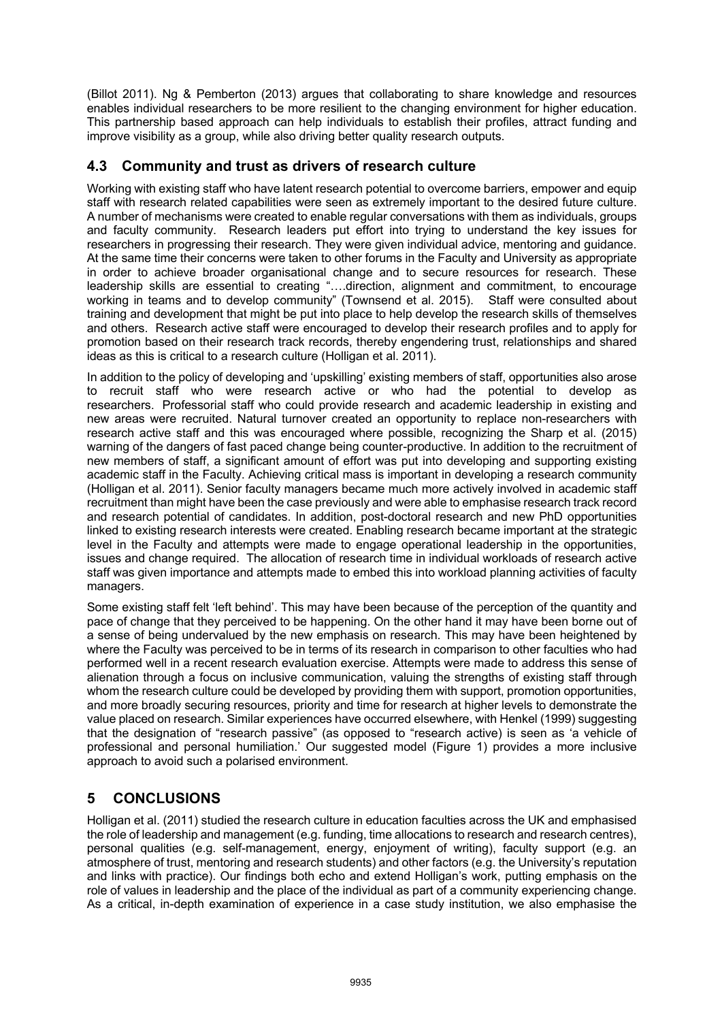(Billot 2011). Ng & Pemberton (2013) argues that collaborating to share knowledge and resources enables individual researchers to be more resilient to the changing environment for higher education. This partnership based approach can help individuals to establish their profiles, attract funding and improve visibility as a group, while also driving better quality research outputs.

### **4.3 Community and trust as drivers of research culture**

Working with existing staff who have latent research potential to overcome barriers, empower and equip staff with research related capabilities were seen as extremely important to the desired future culture. A number of mechanisms were created to enable regular conversations with them as individuals, groups and faculty community. Research leaders put effort into trying to understand the key issues for researchers in progressing their research. They were given individual advice, mentoring and guidance. At the same time their concerns were taken to other forums in the Faculty and University as appropriate in order to achieve broader organisational change and to secure resources for research. These leadership skills are essential to creating "….direction, alignment and commitment, to encourage working in teams and to develop community" (Townsend et al. 2015). Staff were consulted about training and development that might be put into place to help develop the research skills of themselves and others. Research active staff were encouraged to develop their research profiles and to apply for promotion based on their research track records, thereby engendering trust, relationships and shared ideas as this is critical to a research culture (Holligan et al. 2011).

In addition to the policy of developing and 'upskilling' existing members of staff, opportunities also arose to recruit staff who were research active or who had the potential to develop as researchers. Professorial staff who could provide research and academic leadership in existing and new areas were recruited. Natural turnover created an opportunity to replace non-researchers with research active staff and this was encouraged where possible, recognizing the Sharp et al. (2015) warning of the dangers of fast paced change being counter-productive. In addition to the recruitment of new members of staff, a significant amount of effort was put into developing and supporting existing academic staff in the Faculty. Achieving critical mass is important in developing a research community (Holligan et al. 2011). Senior faculty managers became much more actively involved in academic staff recruitment than might have been the case previously and were able to emphasise research track record and research potential of candidates. In addition, post-doctoral research and new PhD opportunities linked to existing research interests were created. Enabling research became important at the strategic level in the Faculty and attempts were made to engage operational leadership in the opportunities, issues and change required. The allocation of research time in individual workloads of research active staff was given importance and attempts made to embed this into workload planning activities of faculty managers.

Some existing staff felt 'left behind'. This may have been because of the perception of the quantity and pace of change that they perceived to be happening. On the other hand it may have been borne out of a sense of being undervalued by the new emphasis on research. This may have been heightened by where the Faculty was perceived to be in terms of its research in comparison to other faculties who had performed well in a recent research evaluation exercise. Attempts were made to address this sense of alienation through a focus on inclusive communication, valuing the strengths of existing staff through whom the research culture could be developed by providing them with support, promotion opportunities, and more broadly securing resources, priority and time for research at higher levels to demonstrate the value placed on research. Similar experiences have occurred elsewhere, with Henkel (1999) suggesting that the designation of "research passive" (as opposed to "research active) is seen as 'a vehicle of professional and personal humiliation.' Our suggested model (Figure 1) provides a more inclusive approach to avoid such a polarised environment.

# **5 CONCLUSIONS**

Holligan et al. (2011) studied the research culture in education faculties across the UK and emphasised the role of leadership and management (e.g. funding, time allocations to research and research centres), personal qualities (e.g. self-management, energy, enjoyment of writing), faculty support (e.g. an atmosphere of trust, mentoring and research students) and other factors (e.g. the University's reputation and links with practice). Our findings both echo and extend Holligan's work, putting emphasis on the role of values in leadership and the place of the individual as part of a community experiencing change. As a critical, in-depth examination of experience in a case study institution, we also emphasise the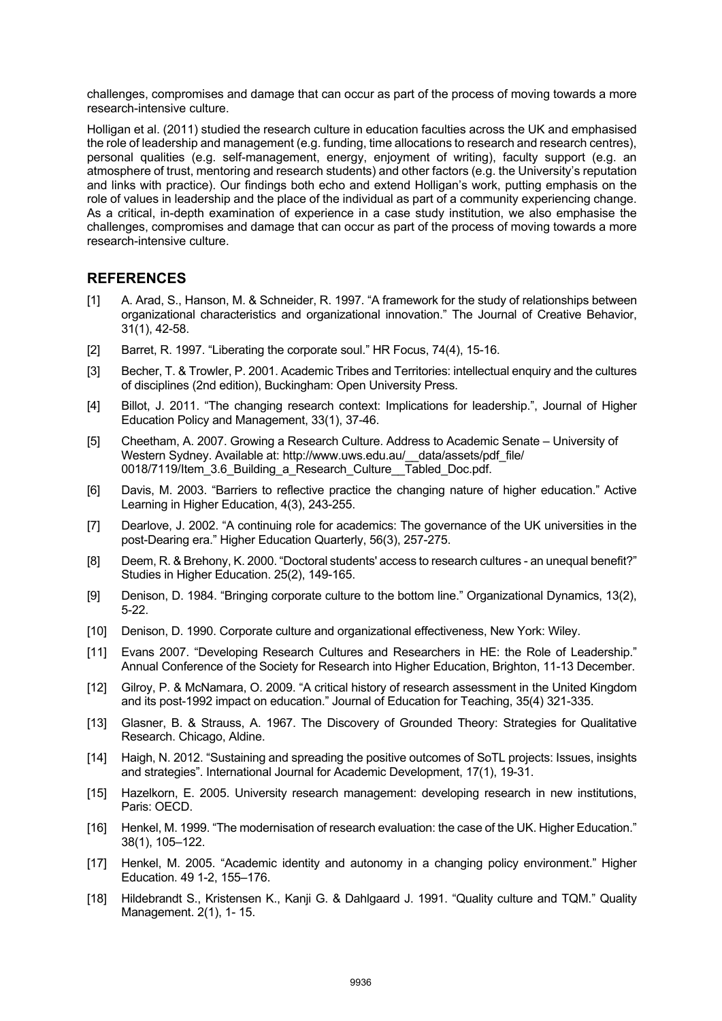challenges, compromises and damage that can occur as part of the process of moving towards a more research-intensive culture.

Holligan et al. (2011) studied the research culture in education faculties across the UK and emphasised the role of leadership and management (e.g. funding, time allocations to research and research centres), personal qualities (e.g. self-management, energy, enjoyment of writing), faculty support (e.g. an atmosphere of trust, mentoring and research students) and other factors (e.g. the University's reputation and links with practice). Our findings both echo and extend Holligan's work, putting emphasis on the role of values in leadership and the place of the individual as part of a community experiencing change. As a critical, in-depth examination of experience in a case study institution, we also emphasise the challenges, compromises and damage that can occur as part of the process of moving towards a more research-intensive culture.

#### **REFERENCES**

- [1] A. Arad, S., Hanson, M. & Schneider, R. 1997. "A framework for the study of relationships between organizational characteristics and organizational innovation." The Journal of Creative Behavior, 31(1), 42-58.
- [2] Barret, R. 1997. "Liberating the corporate soul." HR Focus, 74(4), 15-16.
- [3] Becher, T. & Trowler, P. 2001. Academic Tribes and Territories: intellectual enquiry and the cultures of disciplines (2nd edition), Buckingham: Open University Press.
- [4] Billot, J. 2011. "The changing research context: Implications for leadership.", Journal of Higher Education Policy and Management, 33(1), 37-46.
- [5] Cheetham, A. 2007. Growing a Research Culture. Address to Academic Senate University of Western Sydney. Available at: http://www.uws.edu.au/ data/assets/pdf\_file/ 0018/7119/Item\_3.6\_Building\_a\_Research\_Culture\_\_Tabled\_Doc.pdf.
- [6] Davis, M. 2003. "Barriers to reflective practice the changing nature of higher education." Active Learning in Higher Education, 4(3), 243-255.
- [7] Dearlove, J. 2002. "A continuing role for academics: The governance of the UK universities in the post-Dearing era." Higher Education Quarterly, 56(3), 257-275.
- [8] Deem, R. & Brehony, K. 2000. "Doctoral students' access to research cultures an unequal benefit?" Studies in Higher Education. 25(2), 149-165.
- [9] Denison, D. 1984. "Bringing corporate culture to the bottom line." Organizational Dynamics, 13(2), 5-22.
- [10] Denison, D. 1990. Corporate culture and organizational effectiveness, New York: Wiley.
- [11] Evans 2007. "Developing Research Cultures and Researchers in HE: the Role of Leadership." Annual Conference of the Society for Research into Higher Education, Brighton, 11-13 December.
- [12] Gilroy, P. & McNamara, O. 2009. "A critical history of research assessment in the United Kingdom and its post-1992 impact on education." Journal of Education for Teaching, 35(4) 321-335.
- [13] Glasner, B. & Strauss, A. 1967. The Discovery of Grounded Theory: Strategies for Qualitative Research. Chicago, Aldine.
- [14] Haigh, N. 2012. "Sustaining and spreading the positive outcomes of SoTL projects: Issues, insights and strategies". International Journal for Academic Development, 17(1), 19-31.
- [15] Hazelkorn, E. 2005. University research management: developing research in new institutions, Paris: OECD.
- [16] Henkel, M. 1999. "The modernisation of research evaluation: the case of the UK. Higher Education." 38(1), 105–122.
- [17] Henkel, M. 2005. "Academic identity and autonomy in a changing policy environment." Higher Education. 49 1-2, 155–176.
- [18] Hildebrandt S., Kristensen K., Kanji G. & Dahlgaard J. 1991. "Quality culture and TQM." Quality Management. 2(1), 1- 15.